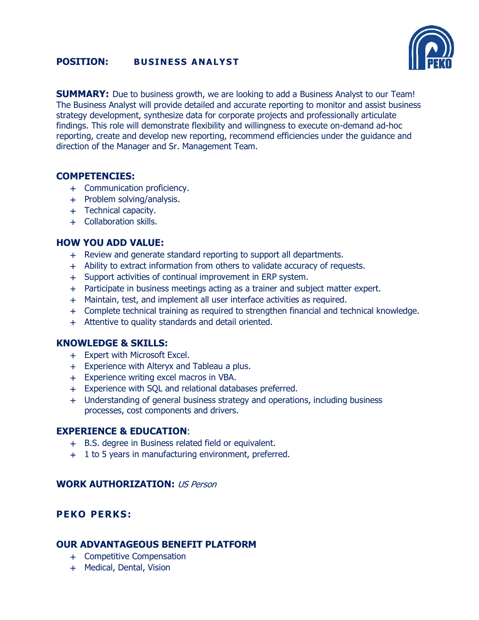# **POSITION: BUSINESS ANALYST**



**SUMMARY:** Due to business growth, we are looking to add a Business Analyst to our Team! The Business Analyst will provide detailed and accurate reporting to monitor and assist business strategy development, synthesize data for corporate projects and professionally articulate findings. This role will demonstrate flexibility and willingness to execute on-demand ad-hoc reporting, create and develop new reporting, recommend efficiencies under the guidance and direction of the Manager and Sr. Management Team.

# **COMPETENCIES:**

- + Communication proficiency.
- + Problem solving/analysis.
- + Technical capacity.
- + Collaboration skills.

# **HOW YOU ADD VALUE:**

- + Review and generate standard reporting to support all departments.
- + Ability to extract information from others to validate accuracy of requests.
- + Support activities of continual improvement in ERP system.
- + Participate in business meetings acting as a trainer and subject matter expert.
- + Maintain, test, and implement all user interface activities as required.
- + Complete technical training as required to strengthen financial and technical knowledge.
- + Attentive to quality standards and detail oriented.

## **KNOWLEDGE & SKILLS:**

- + Expert with Microsoft Excel.
- + Experience with Alteryx and Tableau a plus.
- + Experience writing excel macros in VBA.
- + Experience with SQL and relational databases preferred.
- + Understanding of general business strategy and operations, including business processes, cost components and drivers.

## **EXPERIENCE & EDUCATION**:

- + B.S. degree in Business related field or equivalent.
- + 1 to 5 years in manufacturing environment, preferred.

## **WORK AUTHORIZATION:** US Person

# **PEKO PERKS:**

# **OUR ADVANTAGEOUS BENEFIT PLATFORM**

- + Competitive Compensation
- + Medical, Dental, Vision